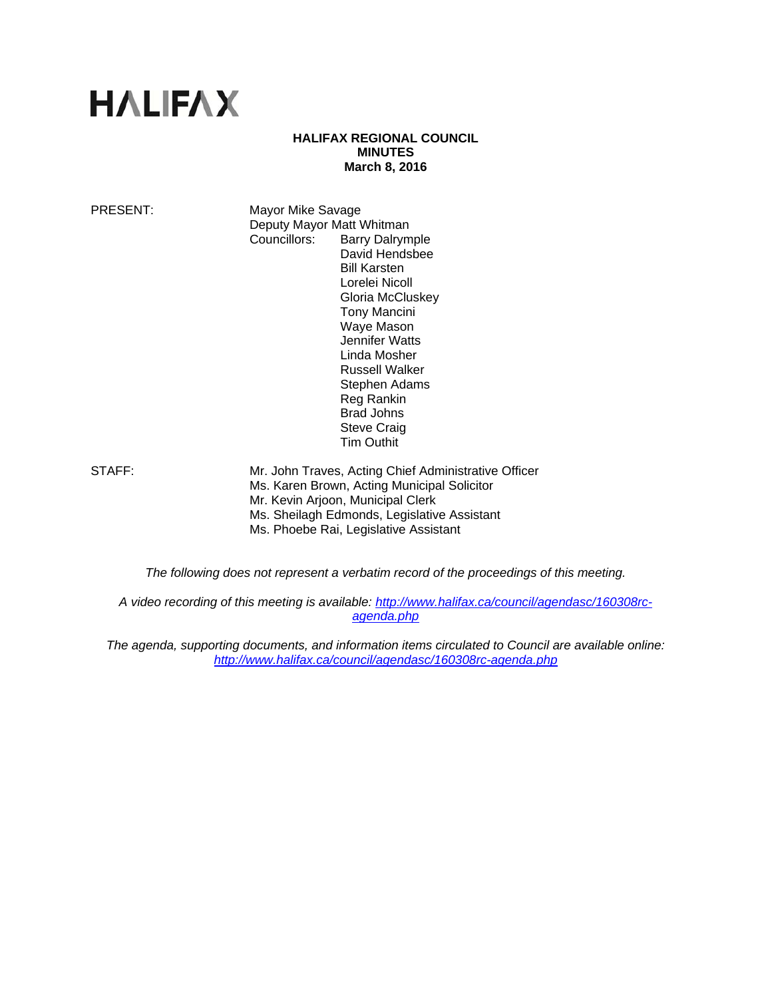# **HALIFAX**

# **HALIFAX REGIONAL COUNCIL MINUTES March 8, 2016**

PRESENT: Mayor Mike Savage Deputy Mayor Matt Whitman Councillors: Barry Dalrymple David Hendsbee Bill Karsten Lorelei Nicoll Gloria McCluskey Tony Mancini Waye Mason Jennifer Watts Linda Mosher Russell Walker Stephen Adams Reg Rankin Brad Johns Steve Craig Tim Outhit

STAFF: Mr. John Traves, Acting Chief Administrative Officer Ms. Karen Brown, Acting Municipal Solicitor Mr. Kevin Arjoon, Municipal Clerk Ms. Sheilagh Edmonds, Legislative Assistant Ms. Phoebe Rai, Legislative Assistant

*The following does not represent a verbatim record of the proceedings of this meeting.* 

*A video recording of this meeting is available: http://www.halifax.ca/council/agendasc/160308rcagenda.php* 

*The agenda, supporting documents, and information items circulated to Council are available online: http://www.halifax.ca/council/agendasc/160308rc-agenda.php*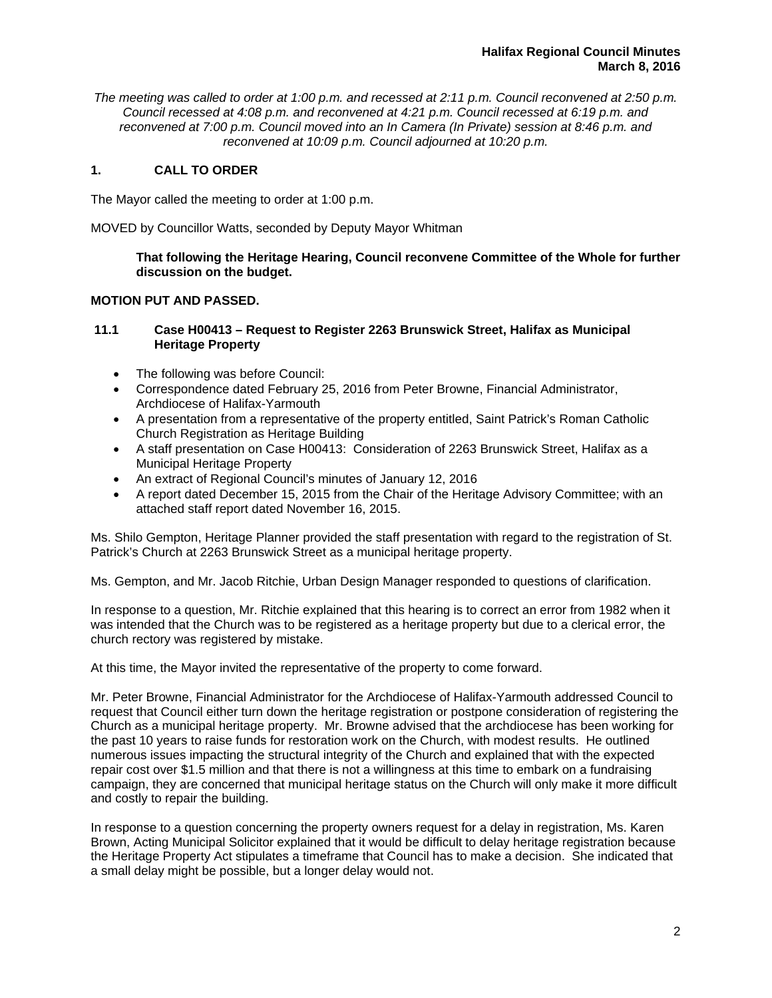*The meeting was called to order at 1:00 p.m. and recessed at 2:11 p.m. Council reconvened at 2:50 p.m. Council recessed at 4:08 p.m. and reconvened at 4:21 p.m. Council recessed at 6:19 p.m. and reconvened at 7:00 p.m. Council moved into an In Camera (In Private) session at 8:46 p.m. and reconvened at 10:09 p.m. Council adjourned at 10:20 p.m.*

# **1. CALL TO ORDER**

The Mayor called the meeting to order at 1:00 p.m.

MOVED by Councillor Watts, seconded by Deputy Mayor Whitman

**That following the Heritage Hearing, Council reconvene Committee of the Whole for further discussion on the budget.** 

# **MOTION PUT AND PASSED.**

# **11.1 Case H00413 – Request to Register 2263 Brunswick Street, Halifax as Municipal Heritage Property**

- The following was before Council:
- Correspondence dated February 25, 2016 from Peter Browne, Financial Administrator, Archdiocese of Halifax-Yarmouth
- A presentation from a representative of the property entitled, Saint Patrick's Roman Catholic Church Registration as Heritage Building
- A staff presentation on Case H00413: Consideration of 2263 Brunswick Street, Halifax as a Municipal Heritage Property
- An extract of Regional Council's minutes of January 12, 2016
- A report dated December 15, 2015 from the Chair of the Heritage Advisory Committee; with an attached staff report dated November 16, 2015.

Ms. Shilo Gempton, Heritage Planner provided the staff presentation with regard to the registration of St. Patrick's Church at 2263 Brunswick Street as a municipal heritage property.

Ms. Gempton, and Mr. Jacob Ritchie, Urban Design Manager responded to questions of clarification.

In response to a question, Mr. Ritchie explained that this hearing is to correct an error from 1982 when it was intended that the Church was to be registered as a heritage property but due to a clerical error, the church rectory was registered by mistake.

At this time, the Mayor invited the representative of the property to come forward.

Mr. Peter Browne, Financial Administrator for the Archdiocese of Halifax-Yarmouth addressed Council to request that Council either turn down the heritage registration or postpone consideration of registering the Church as a municipal heritage property. Mr. Browne advised that the archdiocese has been working for the past 10 years to raise funds for restoration work on the Church, with modest results. He outlined numerous issues impacting the structural integrity of the Church and explained that with the expected repair cost over \$1.5 million and that there is not a willingness at this time to embark on a fundraising campaign, they are concerned that municipal heritage status on the Church will only make it more difficult and costly to repair the building.

In response to a question concerning the property owners request for a delay in registration, Ms. Karen Brown, Acting Municipal Solicitor explained that it would be difficult to delay heritage registration because the Heritage Property Act stipulates a timeframe that Council has to make a decision. She indicated that a small delay might be possible, but a longer delay would not.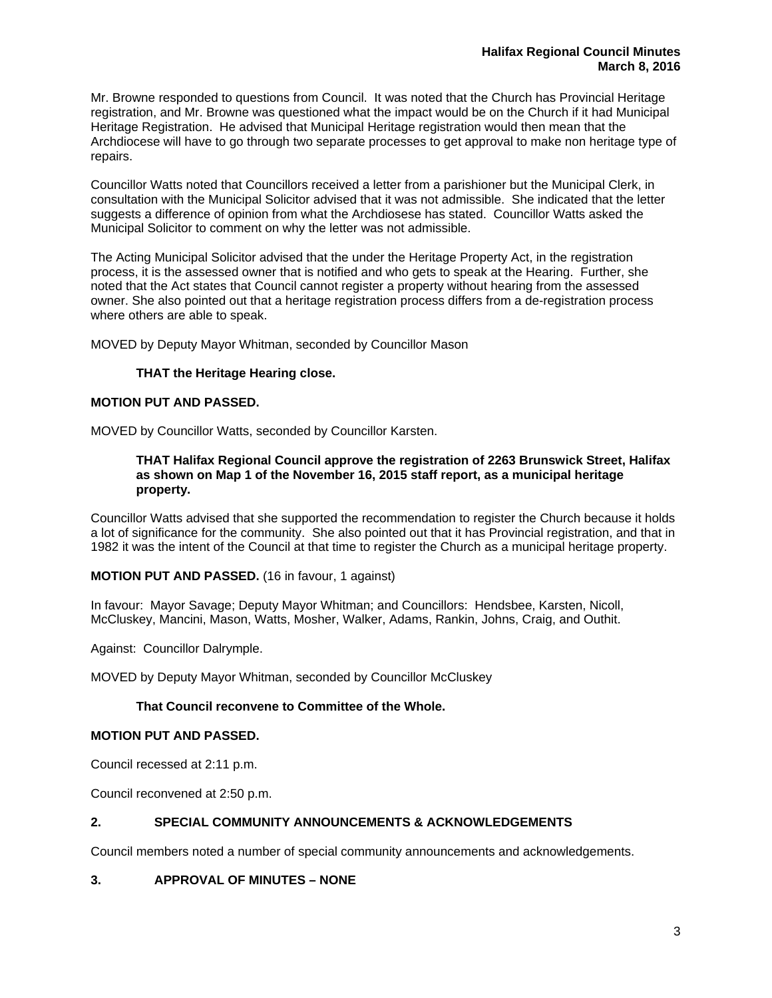Mr. Browne responded to questions from Council. It was noted that the Church has Provincial Heritage registration, and Mr. Browne was questioned what the impact would be on the Church if it had Municipal Heritage Registration. He advised that Municipal Heritage registration would then mean that the Archdiocese will have to go through two separate processes to get approval to make non heritage type of repairs.

Councillor Watts noted that Councillors received a letter from a parishioner but the Municipal Clerk, in consultation with the Municipal Solicitor advised that it was not admissible. She indicated that the letter suggests a difference of opinion from what the Archdiosese has stated. Councillor Watts asked the Municipal Solicitor to comment on why the letter was not admissible.

The Acting Municipal Solicitor advised that the under the Heritage Property Act, in the registration process, it is the assessed owner that is notified and who gets to speak at the Hearing. Further, she noted that the Act states that Council cannot register a property without hearing from the assessed owner. She also pointed out that a heritage registration process differs from a de-registration process where others are able to speak.

MOVED by Deputy Mayor Whitman, seconded by Councillor Mason

# **THAT the Heritage Hearing close.**

# **MOTION PUT AND PASSED.**

MOVED by Councillor Watts, seconded by Councillor Karsten.

#### **THAT Halifax Regional Council approve the registration of 2263 Brunswick Street, Halifax as shown on Map 1 of the November 16, 2015 staff report, as a municipal heritage property.**

Councillor Watts advised that she supported the recommendation to register the Church because it holds a lot of significance for the community. She also pointed out that it has Provincial registration, and that in 1982 it was the intent of the Council at that time to register the Church as a municipal heritage property.

# **MOTION PUT AND PASSED.** (16 in favour, 1 against)

In favour: Mayor Savage; Deputy Mayor Whitman; and Councillors: Hendsbee, Karsten, Nicoll, McCluskey, Mancini, Mason, Watts, Mosher, Walker, Adams, Rankin, Johns, Craig, and Outhit.

Against: Councillor Dalrymple.

MOVED by Deputy Mayor Whitman, seconded by Councillor McCluskey

# **That Council reconvene to Committee of the Whole.**

# **MOTION PUT AND PASSED.**

Council recessed at 2:11 p.m.

Council reconvened at 2:50 p.m.

# **2. SPECIAL COMMUNITY ANNOUNCEMENTS & ACKNOWLEDGEMENTS**

Council members noted a number of special community announcements and acknowledgements.

# **3. APPROVAL OF MINUTES – NONE**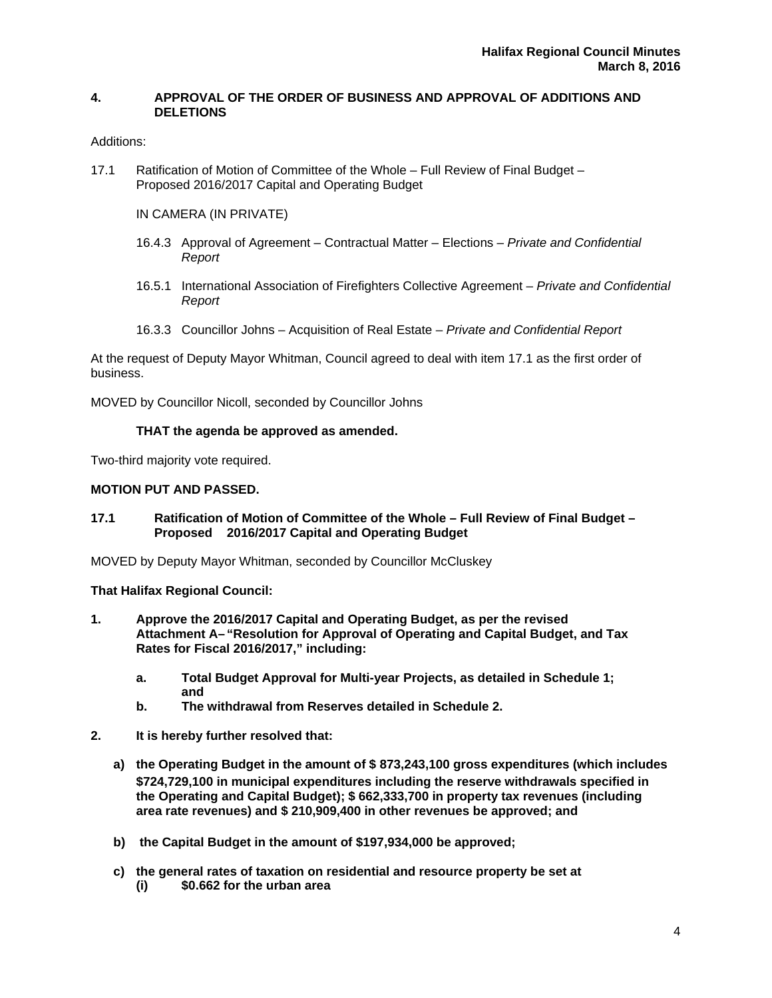# **4. APPROVAL OF THE ORDER OF BUSINESS AND APPROVAL OF ADDITIONS AND DELETIONS**

# Additions:

17.1 Ratification of Motion of Committee of the Whole – Full Review of Final Budget – Proposed 2016/2017 Capital and Operating Budget

# IN CAMERA (IN PRIVATE)

- 16.4.3 Approval of Agreement Contractual Matter Elections  *Private and Confidential Report*
- 16.5.1 International Association of Firefighters Collective Agreement *Private and Confidential Report*
- 16.3.3 Councillor Johns Acquisition of Real Estate *Private and Confidential Report*

At the request of Deputy Mayor Whitman, Council agreed to deal with item 17.1 as the first order of business.

MOVED by Councillor Nicoll, seconded by Councillor Johns

# **THAT the agenda be approved as amended.**

Two-third majority vote required.

# **MOTION PUT AND PASSED.**

**17.1 Ratification of Motion of Committee of the Whole – Full Review of Final Budget – Proposed 2016/2017 Capital and Operating Budget** 

MOVED by Deputy Mayor Whitman, seconded by Councillor McCluskey

**That Halifax Regional Council:** 

- **1. Approve the 2016/2017 Capital and Operating Budget, as per the revised Attachment A– "Resolution for Approval of Operating and Capital Budget, and Tax Rates for Fiscal 2016/2017," including:** 
	- **a. Total Budget Approval for Multi-year Projects, as detailed in Schedule 1; and**
	- **b. The withdrawal from Reserves detailed in Schedule 2.**
- **2. It is hereby further resolved that:** 
	- **a) the Operating Budget in the amount of \$ 873,243,100 gross expenditures (which includes \$724,729,100 in municipal expenditures including the reserve withdrawals specified in the Operating and Capital Budget); \$ 662,333,700 in property tax revenues (including area rate revenues) and \$ 210,909,400 in other revenues be approved; and**
	- **b) the Capital Budget in the amount of \$197,934,000 be approved;**
	- **c) the general rates of taxation on residential and resource property be set at (i) \$0.662 for the urban area**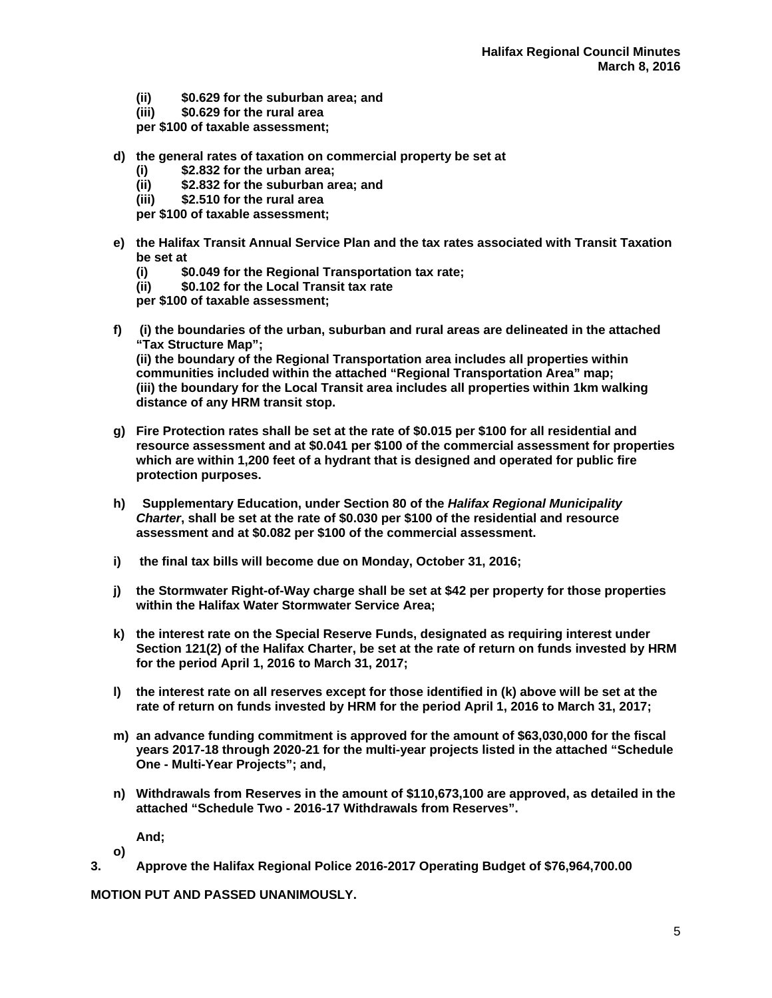- **(ii) \$0.629 for the suburban area; and**
- **(iii) \$0.629 for the rural area**
- **per \$100 of taxable assessment;**
- **d) the general rates of taxation on commercial property be set at** 
	- **(i) \$2.832 for the urban area;**
	- **(ii) \$2.832 for the suburban area; and**
	- **(iii) \$2.510 for the rural area**
	- **per \$100 of taxable assessment;**
- **e) the Halifax Transit Annual Service Plan and the tax rates associated with Transit Taxation be set at** 
	- **(i) \$0.049 for the Regional Transportation tax rate;**
	- **(ii) \$0.102 for the Local Transit tax rate**

**per \$100 of taxable assessment;** 

**f) (i) the boundaries of the urban, suburban and rural areas are delineated in the attached "Tax Structure Map";** 

**(ii) the boundary of the Regional Transportation area includes all properties within communities included within the attached "Regional Transportation Area" map; (iii) the boundary for the Local Transit area includes all properties within 1km walking distance of any HRM transit stop.** 

- **g) Fire Protection rates shall be set at the rate of \$0.015 per \$100 for all residential and resource assessment and at \$0.041 per \$100 of the commercial assessment for properties which are within 1,200 feet of a hydrant that is designed and operated for public fire protection purposes.**
- **h) Supplementary Education, under Section 80 of the** *Halifax Regional Municipality Charter***, shall be set at the rate of \$0.030 per \$100 of the residential and resource assessment and at \$0.082 per \$100 of the commercial assessment.**
- **i) the final tax bills will become due on Monday, October 31, 2016;**
- **j) the Stormwater Right-of-Way charge shall be set at \$42 per property for those properties within the Halifax Water Stormwater Service Area;**
- **k) the interest rate on the Special Reserve Funds, designated as requiring interest under Section 121(2) of the Halifax Charter, be set at the rate of return on funds invested by HRM for the period April 1, 2016 to March 31, 2017;**
- **l) the interest rate on all reserves except for those identified in (k) above will be set at the rate of return on funds invested by HRM for the period April 1, 2016 to March 31, 2017;**
- **m) an advance funding commitment is approved for the amount of \$63,030,000 for the fiscal years 2017-18 through 2020-21 for the multi-year projects listed in the attached "Schedule One - Multi-Year Projects"; and,**
- **n) Withdrawals from Reserves in the amount of \$110,673,100 are approved, as detailed in the attached "Schedule Two - 2016-17 Withdrawals from Reserves".**

**And;** 

**o)** 

**3. Approve the Halifax Regional Police 2016-2017 Operating Budget of \$76,964,700.00** 

**MOTION PUT AND PASSED UNANIMOUSLY.**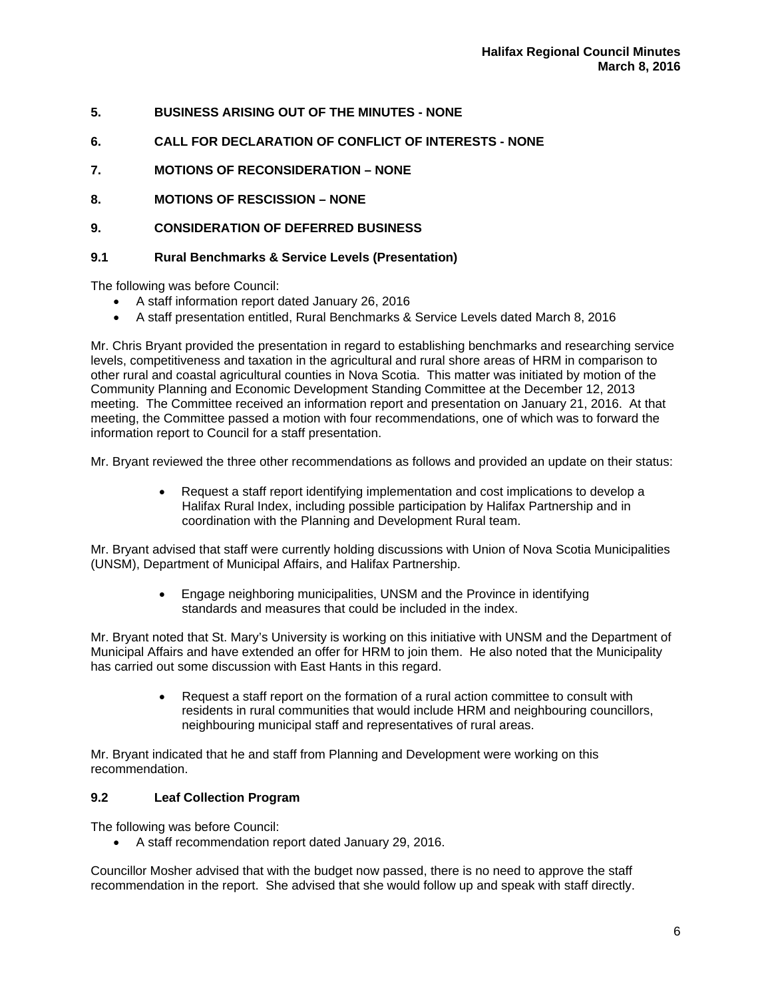- **5. BUSINESS ARISING OUT OF THE MINUTES NONE**
- **6. CALL FOR DECLARATION OF CONFLICT OF INTERESTS NONE**
- **7. MOTIONS OF RECONSIDERATION NONE**
- **8. MOTIONS OF RESCISSION NONE**
- **9. CONSIDERATION OF DEFERRED BUSINESS**

# **9.1 Rural Benchmarks & Service Levels (Presentation)**

The following was before Council:

- A staff information report dated January 26, 2016
- A staff presentation entitled, Rural Benchmarks & Service Levels dated March 8, 2016

Mr. Chris Bryant provided the presentation in regard to establishing benchmarks and researching service levels, competitiveness and taxation in the agricultural and rural shore areas of HRM in comparison to other rural and coastal agricultural counties in Nova Scotia. This matter was initiated by motion of the Community Planning and Economic Development Standing Committee at the December 12, 2013 meeting. The Committee received an information report and presentation on January 21, 2016. At that meeting, the Committee passed a motion with four recommendations, one of which was to forward the information report to Council for a staff presentation.

Mr. Bryant reviewed the three other recommendations as follows and provided an update on their status:

 Request a staff report identifying implementation and cost implications to develop a Halifax Rural Index, including possible participation by Halifax Partnership and in coordination with the Planning and Development Rural team.

Mr. Bryant advised that staff were currently holding discussions with Union of Nova Scotia Municipalities (UNSM), Department of Municipal Affairs, and Halifax Partnership.

> Engage neighboring municipalities, UNSM and the Province in identifying standards and measures that could be included in the index.

Mr. Bryant noted that St. Mary's University is working on this initiative with UNSM and the Department of Municipal Affairs and have extended an offer for HRM to join them. He also noted that the Municipality has carried out some discussion with East Hants in this regard.

> Request a staff report on the formation of a rural action committee to consult with residents in rural communities that would include HRM and neighbouring councillors, neighbouring municipal staff and representatives of rural areas.

Mr. Bryant indicated that he and staff from Planning and Development were working on this recommendation.

# **9.2 Leaf Collection Program**

The following was before Council:

A staff recommendation report dated January 29, 2016.

Councillor Mosher advised that with the budget now passed, there is no need to approve the staff recommendation in the report. She advised that she would follow up and speak with staff directly.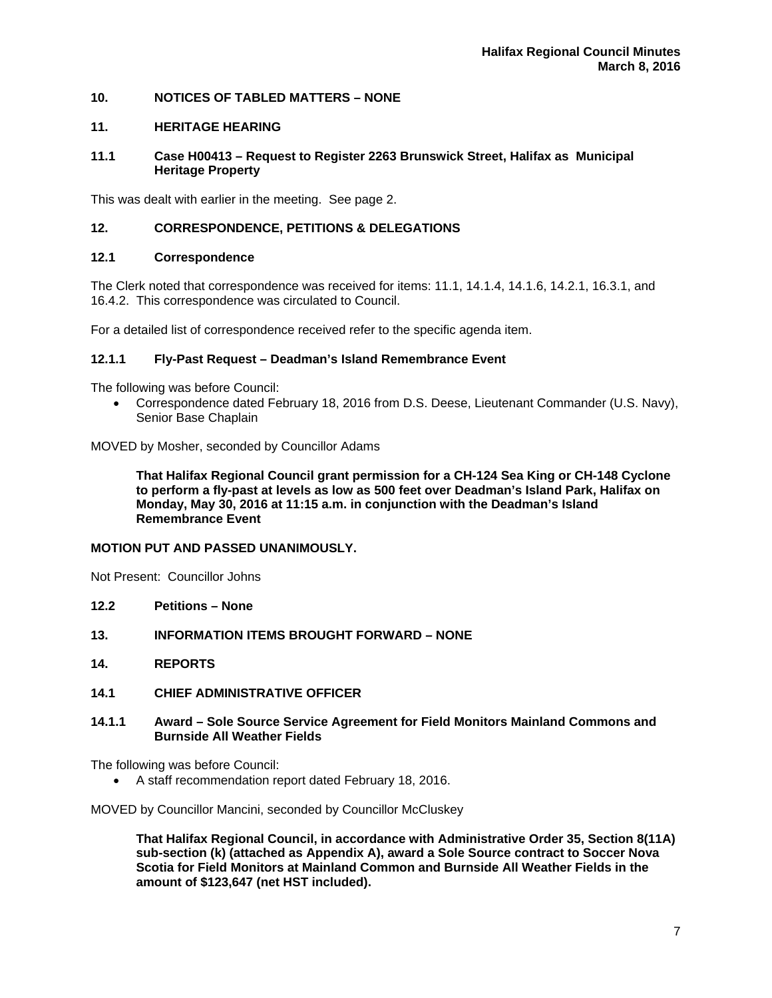# **10. NOTICES OF TABLED MATTERS – NONE**

# **11. HERITAGE HEARING**

# **11.1 Case H00413 – Request to Register 2263 Brunswick Street, Halifax as Municipal Heritage Property**

This was dealt with earlier in the meeting. See page 2.

# **12. CORRESPONDENCE, PETITIONS & DELEGATIONS**

# **12.1 Correspondence**

The Clerk noted that correspondence was received for items: 11.1, 14.1.4, 14.1.6, 14.2.1, 16.3.1, and 16.4.2. This correspondence was circulated to Council.

For a detailed list of correspondence received refer to the specific agenda item.

# **12.1.1 Fly-Past Request – Deadman's Island Remembrance Event**

The following was before Council:

 Correspondence dated February 18, 2016 from D.S. Deese, Lieutenant Commander (U.S. Navy), Senior Base Chaplain

MOVED by Mosher, seconded by Councillor Adams

**That Halifax Regional Council grant permission for a CH-124 Sea King or CH-148 Cyclone to perform a fly-past at levels as low as 500 feet over Deadman's Island Park, Halifax on Monday, May 30, 2016 at 11:15 a.m. in conjunction with the Deadman's Island Remembrance Event** 

# **MOTION PUT AND PASSED UNANIMOUSLY.**

Not Present: Councillor Johns

- **12.2 Petitions None**
- **13. INFORMATION ITEMS BROUGHT FORWARD NONE**
- **14. REPORTS**
- **14.1 CHIEF ADMINISTRATIVE OFFICER**
- **14.1.1 Award Sole Source Service Agreement for Field Monitors Mainland Commons and Burnside All Weather Fields**

The following was before Council:

A staff recommendation report dated February 18, 2016.

MOVED by Councillor Mancini, seconded by Councillor McCluskey

**That Halifax Regional Council, in accordance with Administrative Order 35, Section 8(11A) sub-section (k) (attached as Appendix A), award a Sole Source contract to Soccer Nova Scotia for Field Monitors at Mainland Common and Burnside All Weather Fields in the amount of \$123,647 (net HST included).**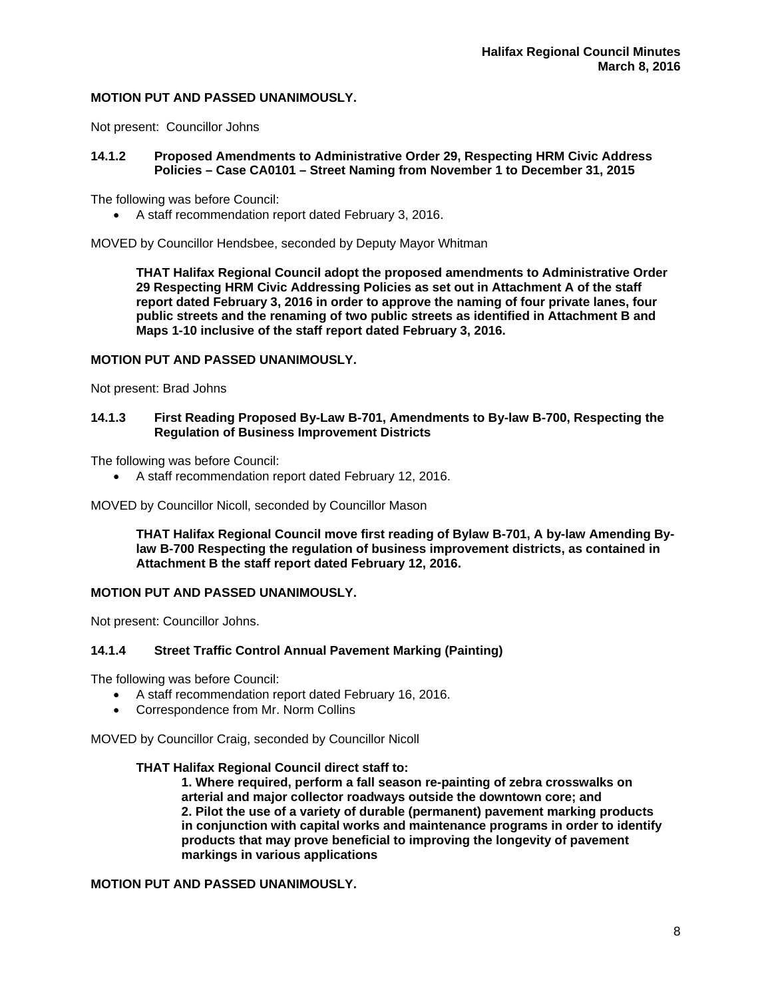# **MOTION PUT AND PASSED UNANIMOUSLY.**

Not present: Councillor Johns

# **14.1.2 Proposed Amendments to Administrative Order 29, Respecting HRM Civic Address Policies – Case CA0101 – Street Naming from November 1 to December 31, 2015**

The following was before Council:

A staff recommendation report dated February 3, 2016.

MOVED by Councillor Hendsbee, seconded by Deputy Mayor Whitman

**THAT Halifax Regional Council adopt the proposed amendments to Administrative Order 29 Respecting HRM Civic Addressing Policies as set out in Attachment A of the staff report dated February 3, 2016 in order to approve the naming of four private lanes, four public streets and the renaming of two public streets as identified in Attachment B and Maps 1-10 inclusive of the staff report dated February 3, 2016.** 

#### **MOTION PUT AND PASSED UNANIMOUSLY.**

Not present: Brad Johns

#### **14.1.3 First Reading Proposed By-Law B-701, Amendments to By-law B-700, Respecting the Regulation of Business Improvement Districts**

The following was before Council:

A staff recommendation report dated February 12, 2016.

MOVED by Councillor Nicoll, seconded by Councillor Mason

**THAT Halifax Regional Council move first reading of Bylaw B-701, A by-law Amending Bylaw B-700 Respecting the regulation of business improvement districts, as contained in Attachment B the staff report dated February 12, 2016.** 

# **MOTION PUT AND PASSED UNANIMOUSLY.**

Not present: Councillor Johns.

# **14.1.4 Street Traffic Control Annual Pavement Marking (Painting)**

The following was before Council:

- A staff recommendation report dated February 16, 2016.
- Correspondence from Mr. Norm Collins

MOVED by Councillor Craig, seconded by Councillor Nicoll

#### **THAT Halifax Regional Council direct staff to:**

 **1. Where required, perform a fall season re-painting of zebra crosswalks on arterial and major collector roadways outside the downtown core; and 2. Pilot the use of a variety of durable (permanent) pavement marking products in conjunction with capital works and maintenance programs in order to identify products that may prove beneficial to improving the longevity of pavement markings in various applications** 

# **MOTION PUT AND PASSED UNANIMOUSLY.**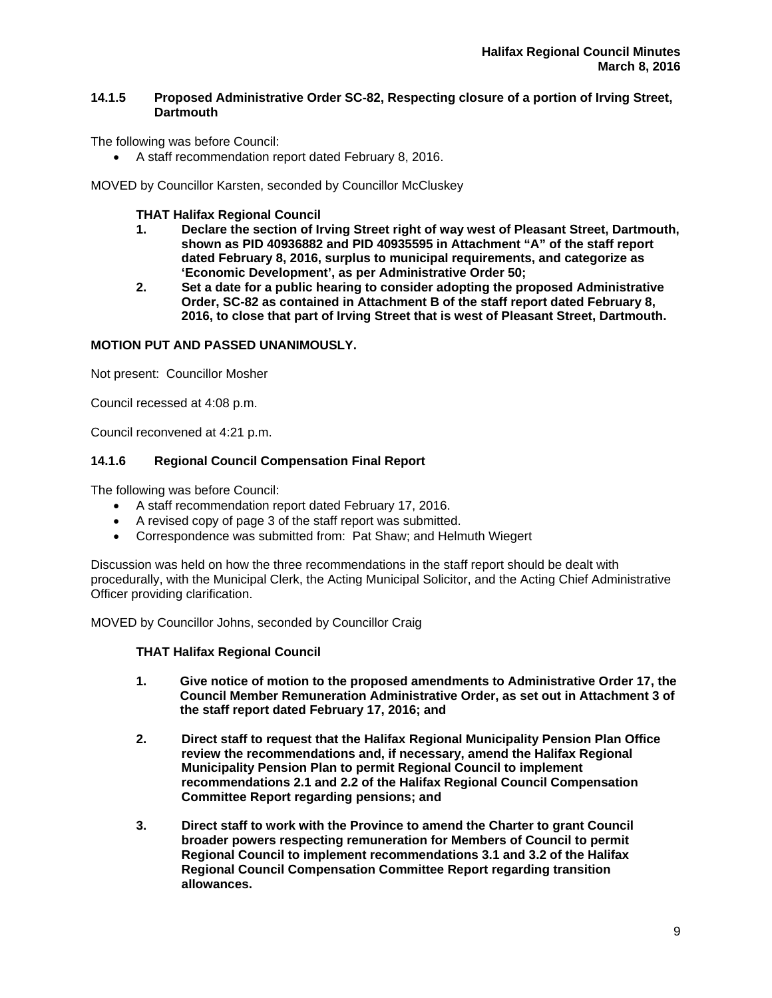# **14.1.5 Proposed Administrative Order SC-82, Respecting closure of a portion of Irving Street, Dartmouth**

The following was before Council:

A staff recommendation report dated February 8, 2016.

MOVED by Councillor Karsten, seconded by Councillor McCluskey

**THAT Halifax Regional Council** 

- **1. Declare the section of Irving Street right of way west of Pleasant Street, Dartmouth, shown as PID 40936882 and PID 40935595 in Attachment "A" of the staff report dated February 8, 2016, surplus to municipal requirements, and categorize as 'Economic Development', as per Administrative Order 50;**
- **2. Set a date for a public hearing to consider adopting the proposed Administrative Order, SC-82 as contained in Attachment B of the staff report dated February 8, 2016, to close that part of Irving Street that is west of Pleasant Street, Dartmouth.**

# **MOTION PUT AND PASSED UNANIMOUSLY.**

Not present: Councillor Mosher

Council recessed at 4:08 p.m.

Council reconvened at 4:21 p.m.

# **14.1.6 Regional Council Compensation Final Report**

The following was before Council:

- A staff recommendation report dated February 17, 2016.
- A revised copy of page 3 of the staff report was submitted.
- Correspondence was submitted from: Pat Shaw; and Helmuth Wiegert

Discussion was held on how the three recommendations in the staff report should be dealt with procedurally, with the Municipal Clerk, the Acting Municipal Solicitor, and the Acting Chief Administrative Officer providing clarification.

MOVED by Councillor Johns, seconded by Councillor Craig

# **THAT Halifax Regional Council**

- **1. Give notice of motion to the proposed amendments to Administrative Order 17, the Council Member Remuneration Administrative Order, as set out in Attachment 3 of the staff report dated February 17, 2016; and**
- **2. Direct staff to request that the Halifax Regional Municipality Pension Plan Office review the recommendations and, if necessary, amend the Halifax Regional Municipality Pension Plan to permit Regional Council to implement recommendations 2.1 and 2.2 of the Halifax Regional Council Compensation Committee Report regarding pensions; and**
- **3. Direct staff to work with the Province to amend the Charter to grant Council broader powers respecting remuneration for Members of Council to permit Regional Council to implement recommendations 3.1 and 3.2 of the Halifax Regional Council Compensation Committee Report regarding transition allowances.**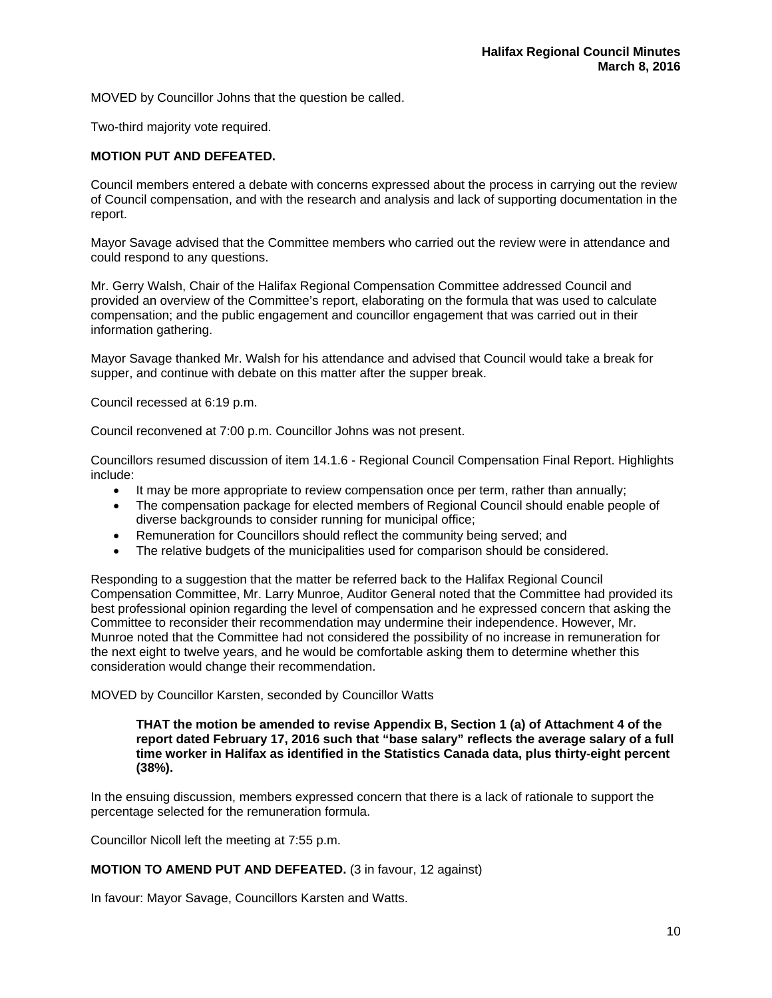MOVED by Councillor Johns that the question be called.

Two-third majority vote required.

# **MOTION PUT AND DEFEATED.**

Council members entered a debate with concerns expressed about the process in carrying out the review of Council compensation, and with the research and analysis and lack of supporting documentation in the report.

Mayor Savage advised that the Committee members who carried out the review were in attendance and could respond to any questions.

Mr. Gerry Walsh, Chair of the Halifax Regional Compensation Committee addressed Council and provided an overview of the Committee's report, elaborating on the formula that was used to calculate compensation; and the public engagement and councillor engagement that was carried out in their information gathering.

Mayor Savage thanked Mr. Walsh for his attendance and advised that Council would take a break for supper, and continue with debate on this matter after the supper break.

Council recessed at 6:19 p.m.

Council reconvened at 7:00 p.m. Councillor Johns was not present.

Councillors resumed discussion of item 14.1.6 - Regional Council Compensation Final Report. Highlights include:

- It may be more appropriate to review compensation once per term, rather than annually;
- The compensation package for elected members of Regional Council should enable people of diverse backgrounds to consider running for municipal office;
- Remuneration for Councillors should reflect the community being served; and
- The relative budgets of the municipalities used for comparison should be considered.

Responding to a suggestion that the matter be referred back to the Halifax Regional Council Compensation Committee, Mr. Larry Munroe, Auditor General noted that the Committee had provided its best professional opinion regarding the level of compensation and he expressed concern that asking the Committee to reconsider their recommendation may undermine their independence. However, Mr. Munroe noted that the Committee had not considered the possibility of no increase in remuneration for the next eight to twelve years, and he would be comfortable asking them to determine whether this consideration would change their recommendation.

MOVED by Councillor Karsten, seconded by Councillor Watts

#### **THAT the motion be amended to revise Appendix B, Section 1 (a) of Attachment 4 of the report dated February 17, 2016 such that "base salary" reflects the average salary of a full time worker in Halifax as identified in the Statistics Canada data, plus thirty-eight percent (38%).**

In the ensuing discussion, members expressed concern that there is a lack of rationale to support the percentage selected for the remuneration formula.

Councillor Nicoll left the meeting at 7:55 p.m.

# **MOTION TO AMEND PUT AND DEFEATED.** (3 in favour, 12 against)

In favour: Mayor Savage, Councillors Karsten and Watts.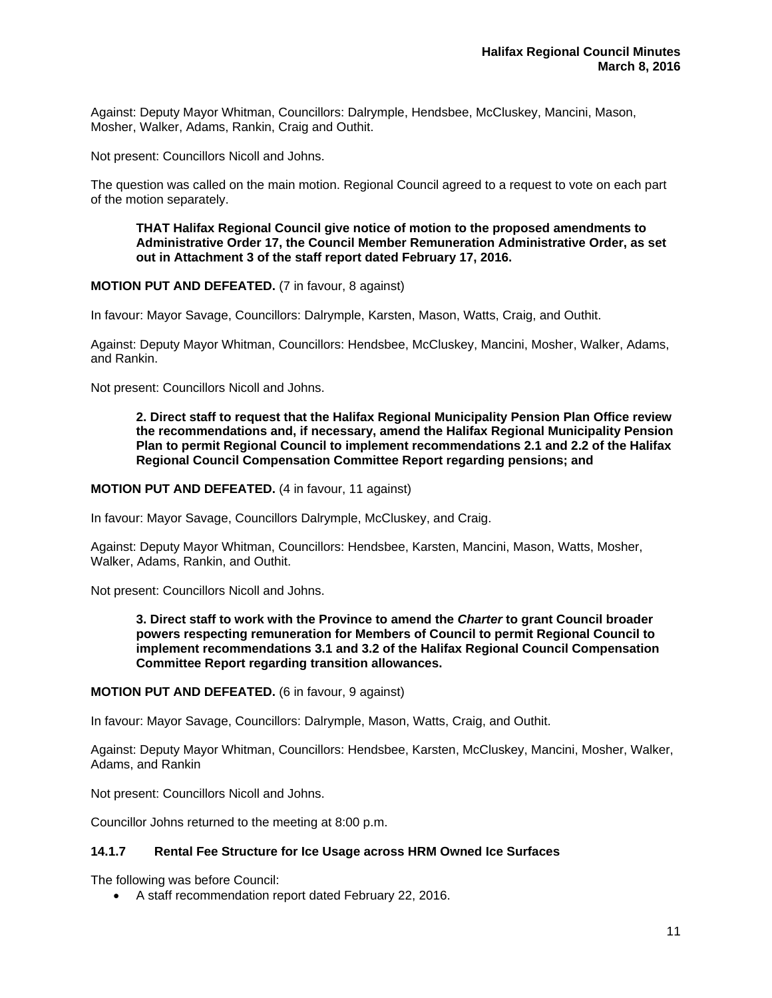Against: Deputy Mayor Whitman, Councillors: Dalrymple, Hendsbee, McCluskey, Mancini, Mason, Mosher, Walker, Adams, Rankin, Craig and Outhit.

Not present: Councillors Nicoll and Johns.

The question was called on the main motion. Regional Council agreed to a request to vote on each part of the motion separately.

**THAT Halifax Regional Council give notice of motion to the proposed amendments to Administrative Order 17, the Council Member Remuneration Administrative Order, as set out in Attachment 3 of the staff report dated February 17, 2016.** 

**MOTION PUT AND DEFEATED.** (7 in favour, 8 against)

In favour: Mayor Savage, Councillors: Dalrymple, Karsten, Mason, Watts, Craig, and Outhit.

Against: Deputy Mayor Whitman, Councillors: Hendsbee, McCluskey, Mancini, Mosher, Walker, Adams, and Rankin.

Not present: Councillors Nicoll and Johns.

**2. Direct staff to request that the Halifax Regional Municipality Pension Plan Office review the recommendations and, if necessary, amend the Halifax Regional Municipality Pension Plan to permit Regional Council to implement recommendations 2.1 and 2.2 of the Halifax Regional Council Compensation Committee Report regarding pensions; and** 

#### **MOTION PUT AND DEFEATED.** (4 in favour, 11 against)

In favour: Mayor Savage, Councillors Dalrymple, McCluskey, and Craig.

Against: Deputy Mayor Whitman, Councillors: Hendsbee, Karsten, Mancini, Mason, Watts, Mosher, Walker, Adams, Rankin, and Outhit.

Not present: Councillors Nicoll and Johns.

**3. Direct staff to work with the Province to amend the** *Charter* **to grant Council broader powers respecting remuneration for Members of Council to permit Regional Council to implement recommendations 3.1 and 3.2 of the Halifax Regional Council Compensation Committee Report regarding transition allowances.** 

**MOTION PUT AND DEFEATED.** (6 in favour, 9 against)

In favour: Mayor Savage, Councillors: Dalrymple, Mason, Watts, Craig, and Outhit.

Against: Deputy Mayor Whitman, Councillors: Hendsbee, Karsten, McCluskey, Mancini, Mosher, Walker, Adams, and Rankin

Not present: Councillors Nicoll and Johns.

Councillor Johns returned to the meeting at 8:00 p.m.

# **14.1.7 Rental Fee Structure for Ice Usage across HRM Owned Ice Surfaces**

The following was before Council:

A staff recommendation report dated February 22, 2016.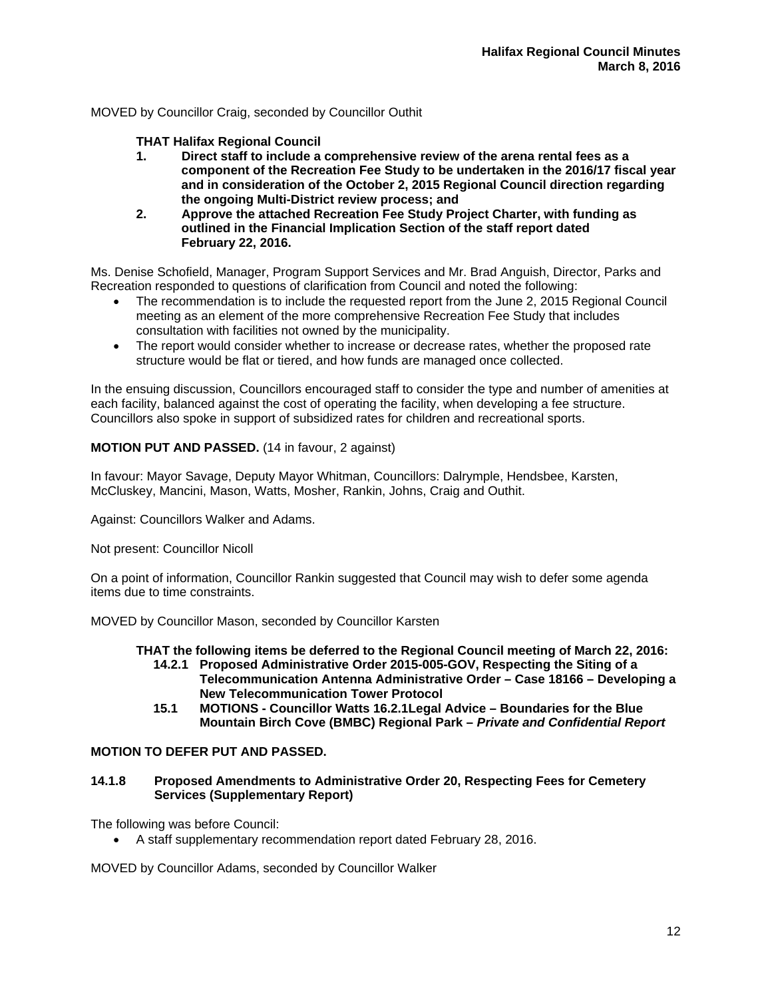# MOVED by Councillor Craig, seconded by Councillor Outhit

# **THAT Halifax Regional Council**

- **1. Direct staff to include a comprehensive review of the arena rental fees as a component of the Recreation Fee Study to be undertaken in the 2016/17 fiscal year and in consideration of the October 2, 2015 Regional Council direction regarding the ongoing Multi-District review process; and**
- **2. Approve the attached Recreation Fee Study Project Charter, with funding as outlined in the Financial Implication Section of the staff report dated February 22, 2016.**

Ms. Denise Schofield, Manager, Program Support Services and Mr. Brad Anguish, Director, Parks and Recreation responded to questions of clarification from Council and noted the following:

- The recommendation is to include the requested report from the June 2, 2015 Regional Council meeting as an element of the more comprehensive Recreation Fee Study that includes consultation with facilities not owned by the municipality.
- The report would consider whether to increase or decrease rates, whether the proposed rate structure would be flat or tiered, and how funds are managed once collected.

In the ensuing discussion, Councillors encouraged staff to consider the type and number of amenities at each facility, balanced against the cost of operating the facility, when developing a fee structure. Councillors also spoke in support of subsidized rates for children and recreational sports.

# **MOTION PUT AND PASSED.** (14 in favour, 2 against)

In favour: Mayor Savage, Deputy Mayor Whitman, Councillors: Dalrymple, Hendsbee, Karsten, McCluskey, Mancini, Mason, Watts, Mosher, Rankin, Johns, Craig and Outhit.

Against: Councillors Walker and Adams.

Not present: Councillor Nicoll

On a point of information, Councillor Rankin suggested that Council may wish to defer some agenda items due to time constraints.

MOVED by Councillor Mason, seconded by Councillor Karsten

- **THAT the following items be deferred to the Regional Council meeting of March 22, 2016: 14.2.1 Proposed Administrative Order 2015-005-GOV, Respecting the Siting of a** 
	- **Telecommunication Antenna Administrative Order Case 18166 Developing a New Telecommunication Tower Protocol**
	- **15.1 MOTIONS Councillor Watts 16.2.1 Legal Advice Boundaries for the Blue Mountain Birch Cove (BMBC) Regional Park –** *Private and Confidential Report*

# **MOTION TO DEFER PUT AND PASSED.**

# **14.1.8 Proposed Amendments to Administrative Order 20, Respecting Fees for Cemetery Services (Supplementary Report)**

The following was before Council:

A staff supplementary recommendation report dated February 28, 2016.

MOVED by Councillor Adams, seconded by Councillor Walker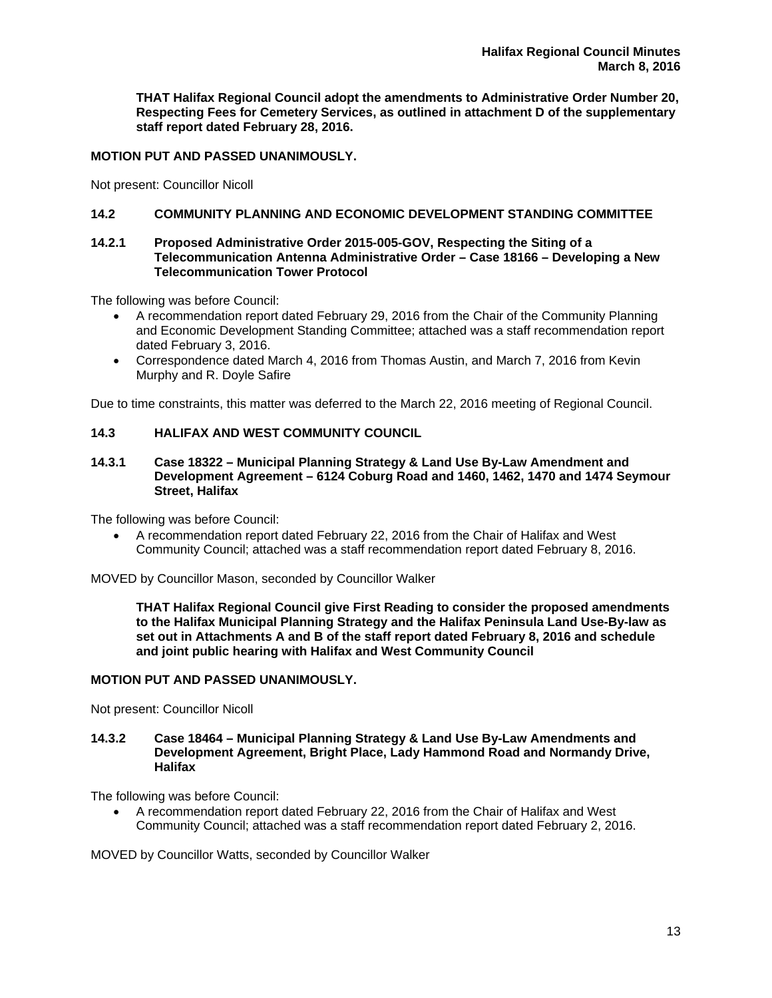**THAT Halifax Regional Council adopt the amendments to Administrative Order Number 20, Respecting Fees for Cemetery Services, as outlined in attachment D of the supplementary staff report dated February 28, 2016.** 

# **MOTION PUT AND PASSED UNANIMOUSLY.**

Not present: Councillor Nicoll

# **14.2 COMMUNITY PLANNING AND ECONOMIC DEVELOPMENT STANDING COMMITTEE**

#### **14.2.1 Proposed Administrative Order 2015-005-GOV, Respecting the Siting of a Telecommunication Antenna Administrative Order – Case 18166 – Developing a New Telecommunication Tower Protocol**

The following was before Council:

- A recommendation report dated February 29, 2016 from the Chair of the Community Planning and Economic Development Standing Committee; attached was a staff recommendation report dated February 3, 2016.
- Correspondence dated March 4, 2016 from Thomas Austin, and March 7, 2016 from Kevin Murphy and R. Doyle Safire

Due to time constraints, this matter was deferred to the March 22, 2016 meeting of Regional Council.

# **14.3 HALIFAX AND WEST COMMUNITY COUNCIL**

#### **14.3.1 Case 18322 – Municipal Planning Strategy & Land Use By-Law Amendment and Development Agreement – 6124 Coburg Road and 1460, 1462, 1470 and 1474 Seymour Street, Halifax**

The following was before Council:

 A recommendation report dated February 22, 2016 from the Chair of Halifax and West Community Council; attached was a staff recommendation report dated February 8, 2016.

MOVED by Councillor Mason, seconded by Councillor Walker

**THAT Halifax Regional Council give First Reading to consider the proposed amendments to the Halifax Municipal Planning Strategy and the Halifax Peninsula Land Use-By-law as set out in Attachments A and B of the staff report dated February 8, 2016 and schedule and joint public hearing with Halifax and West Community Council** 

# **MOTION PUT AND PASSED UNANIMOUSLY.**

Not present: Councillor Nicoll

# **14.3.2 Case 18464 – Municipal Planning Strategy & Land Use By-Law Amendments and Development Agreement, Bright Place, Lady Hammond Road and Normandy Drive, Halifax**

The following was before Council:

 A recommendation report dated February 22, 2016 from the Chair of Halifax and West Community Council; attached was a staff recommendation report dated February 2, 2016.

MOVED by Councillor Watts, seconded by Councillor Walker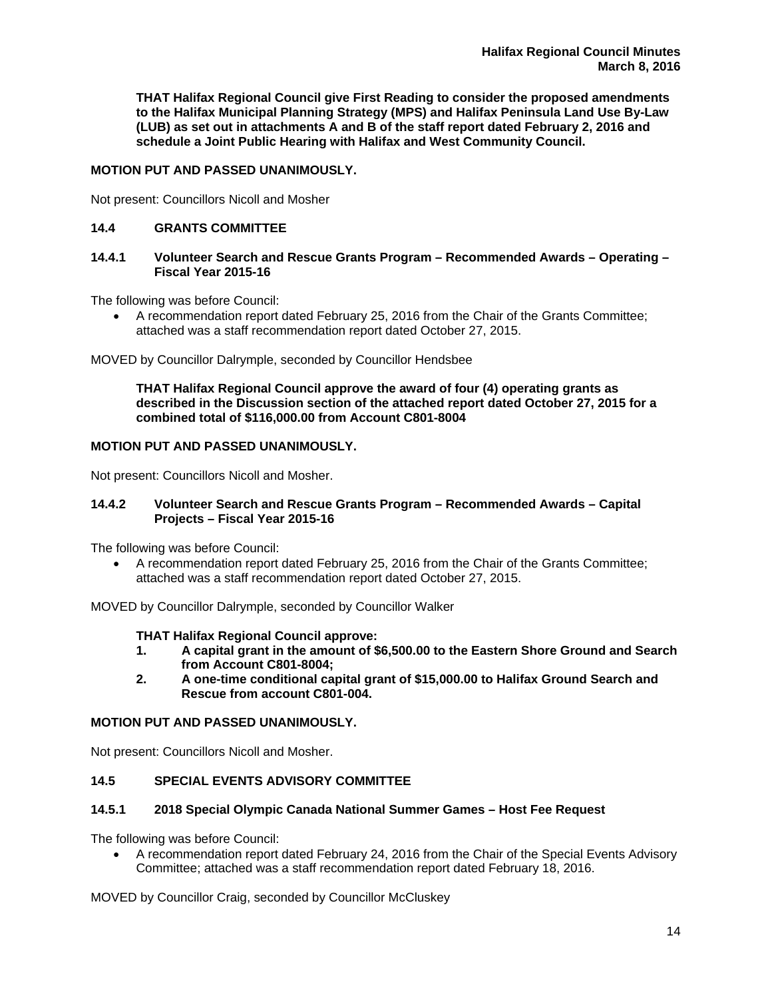**THAT Halifax Regional Council give First Reading to consider the proposed amendments to the Halifax Municipal Planning Strategy (MPS) and Halifax Peninsula Land Use By-Law (LUB) as set out in attachments A and B of the staff report dated February 2, 2016 and schedule a Joint Public Hearing with Halifax and West Community Council.** 

# **MOTION PUT AND PASSED UNANIMOUSLY.**

Not present: Councillors Nicoll and Mosher

# **14.4 GRANTS COMMITTEE**

# **14.4.1 Volunteer Search and Rescue Grants Program – Recommended Awards – Operating – Fiscal Year 2015-16**

The following was before Council:

 A recommendation report dated February 25, 2016 from the Chair of the Grants Committee; attached was a staff recommendation report dated October 27, 2015.

MOVED by Councillor Dalrymple, seconded by Councillor Hendsbee

**THAT Halifax Regional Council approve the award of four (4) operating grants as described in the Discussion section of the attached report dated October 27, 2015 for a combined total of \$116,000.00 from Account C801-8004** 

# **MOTION PUT AND PASSED UNANIMOUSLY.**

Not present: Councillors Nicoll and Mosher.

# **14.4.2 Volunteer Search and Rescue Grants Program – Recommended Awards – Capital Projects – Fiscal Year 2015-16**

The following was before Council:

 A recommendation report dated February 25, 2016 from the Chair of the Grants Committee; attached was a staff recommendation report dated October 27, 2015.

MOVED by Councillor Dalrymple, seconded by Councillor Walker

# **THAT Halifax Regional Council approve:**

- **1. A capital grant in the amount of \$6,500.00 to the Eastern Shore Ground and Search from Account C801-8004;**
- **2. A one-time conditional capital grant of \$15,000.00 to Halifax Ground Search and Rescue from account C801-004.**

# **MOTION PUT AND PASSED UNANIMOUSLY.**

Not present: Councillors Nicoll and Mosher.

# **14.5 SPECIAL EVENTS ADVISORY COMMITTEE**

# **14.5.1 2018 Special Olympic Canada National Summer Games – Host Fee Request**

The following was before Council:

 A recommendation report dated February 24, 2016 from the Chair of the Special Events Advisory Committee; attached was a staff recommendation report dated February 18, 2016.

MOVED by Councillor Craig, seconded by Councillor McCluskey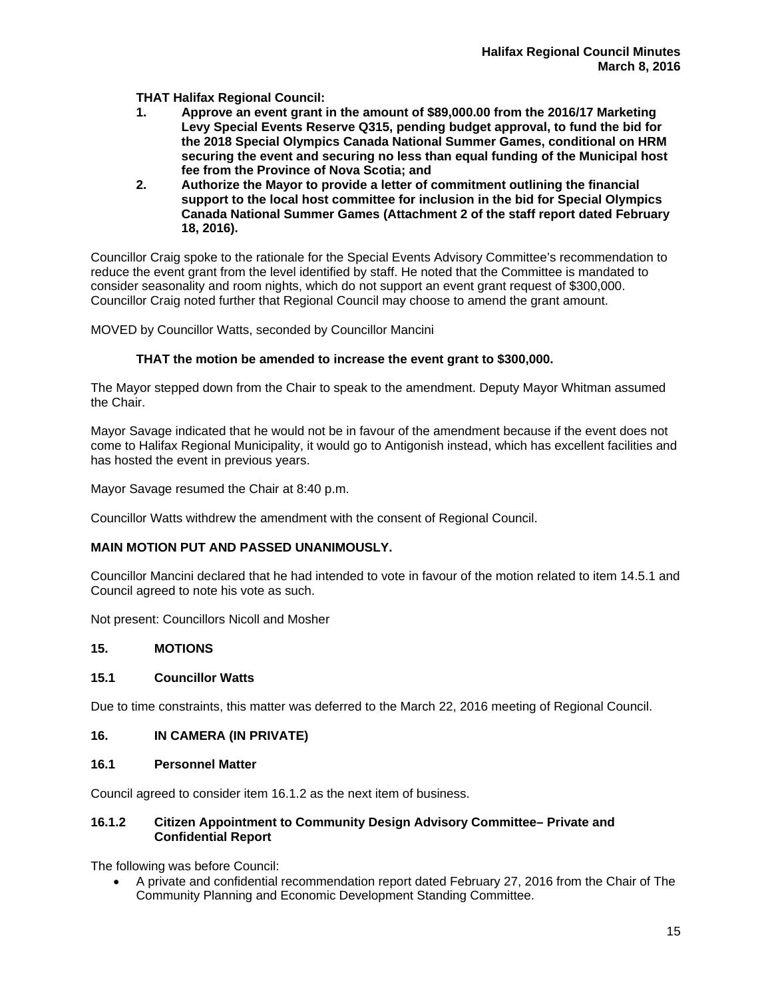**THAT Halifax Regional Council:** 

- **1. Approve an event grant in the amount of \$89,000.00 from the 2016/17 Marketing Levy Special Events Reserve Q315, pending budget approval, to fund the bid for the 2018 Special Olympics Canada National Summer Games, conditional on HRM securing the event and securing no less than equal funding of the Municipal host fee from the Province of Nova Scotia; and**
- **2. Authorize the Mayor to provide a letter of commitment outlining the financial support to the local host committee for inclusion in the bid for Special Olympics Canada National Summer Games (Attachment 2 of the staff report dated February 18, 2016).**

Councillor Craig spoke to the rationale for the Special Events Advisory Committee's recommendation to reduce the event grant from the level identified by staff. He noted that the Committee is mandated to consider seasonality and room nights, which do not support an event grant request of \$300,000. Councillor Craig noted further that Regional Council may choose to amend the grant amount.

MOVED by Councillor Watts, seconded by Councillor Mancini

# **THAT the motion be amended to increase the event grant to \$300,000.**

The Mayor stepped down from the Chair to speak to the amendment. Deputy Mayor Whitman assumed the Chair.

Mayor Savage indicated that he would not be in favour of the amendment because if the event does not come to Halifax Regional Municipality, it would go to Antigonish instead, which has excellent facilities and has hosted the event in previous years.

Mayor Savage resumed the Chair at 8:40 p.m.

Councillor Watts withdrew the amendment with the consent of Regional Council.

# **MAIN MOTION PUT AND PASSED UNANIMOUSLY.**

Councillor Mancini declared that he had intended to vote in favour of the motion related to item 14.5.1 and Council agreed to note his vote as such.

Not present: Councillors Nicoll and Mosher

# **15. MOTIONS**

# **15.1 Councillor Watts**

Due to time constraints, this matter was deferred to the March 22, 2016 meeting of Regional Council.

# **16. IN CAMERA (IN PRIVATE)**

# **16.1 Personnel Matter**

Council agreed to consider item 16.1.2 as the next item of business.

# **16.1.2 Citizen Appointment to Community Design Advisory Committee– Private and Confidential Report**

The following was before Council:

 A private and confidential recommendation report dated February 27, 2016 from the Chair of The Community Planning and Economic Development Standing Committee.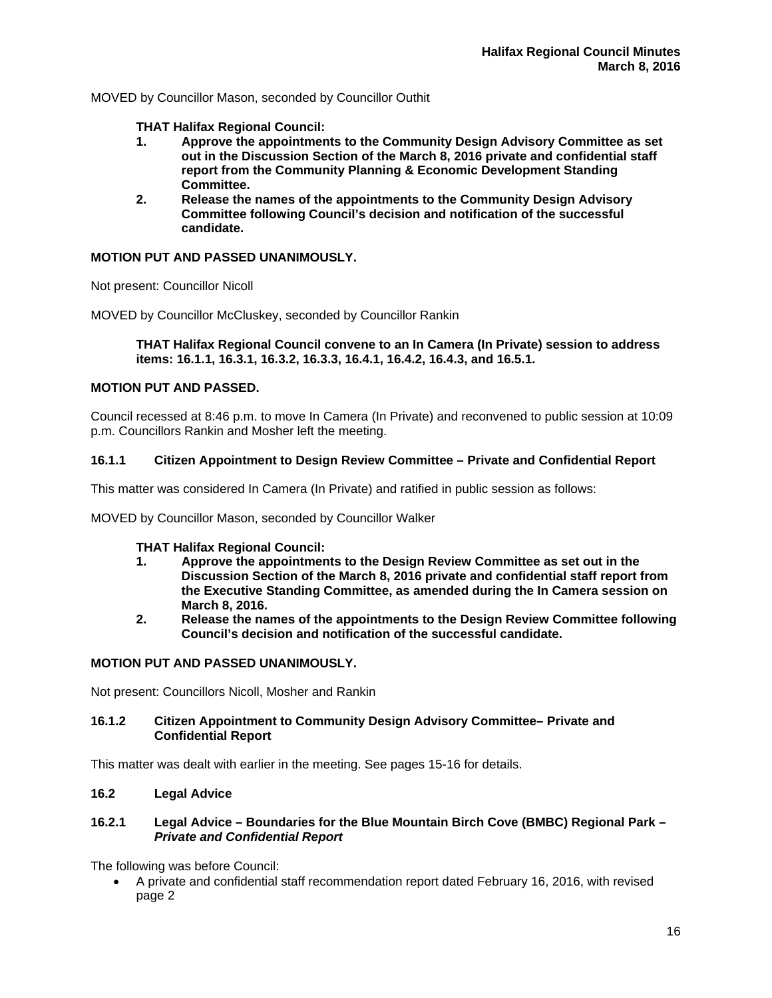MOVED by Councillor Mason, seconded by Councillor Outhit

**THAT Halifax Regional Council:** 

- **1. Approve the appointments to the Community Design Advisory Committee as set out in the Discussion Section of the March 8, 2016 private and confidential staff report from the Community Planning & Economic Development Standing Committee.**
- **2. Release the names of the appointments to the Community Design Advisory Committee following Council's decision and notification of the successful candidate.**

# **MOTION PUT AND PASSED UNANIMOUSLY.**

Not present: Councillor Nicoll

MOVED by Councillor McCluskey, seconded by Councillor Rankin

**THAT Halifax Regional Council convene to an In Camera (In Private) session to address items: 16.1.1, 16.3.1, 16.3.2, 16.3.3, 16.4.1, 16.4.2, 16.4.3, and 16.5.1.** 

# **MOTION PUT AND PASSED.**

Council recessed at 8:46 p.m. to move In Camera (In Private) and reconvened to public session at 10:09 p.m. Councillors Rankin and Mosher left the meeting.

# **16.1.1 Citizen Appointment to Design Review Committee – Private and Confidential Report**

This matter was considered In Camera (In Private) and ratified in public session as follows:

MOVED by Councillor Mason, seconded by Councillor Walker

# **THAT Halifax Regional Council:**

- **1. Approve the appointments to the Design Review Committee as set out in the Discussion Section of the March 8, 2016 private and confidential staff report from the Executive Standing Committee, as amended during the In Camera session on March 8, 2016.**
- **2. Release the names of the appointments to the Design Review Committee following Council's decision and notification of the successful candidate.**

# **MOTION PUT AND PASSED UNANIMOUSLY.**

Not present: Councillors Nicoll, Mosher and Rankin

# **16.1.2 Citizen Appointment to Community Design Advisory Committee– Private and Confidential Report**

This matter was dealt with earlier in the meeting. See pages 15-16 for details.

# **16.2 Legal Advice**

# **16.2.1 Legal Advice – Boundaries for the Blue Mountain Birch Cove (BMBC) Regional Park** *– Private and Confidential Report*

The following was before Council:

 A private and confidential staff recommendation report dated February 16, 2016, with revised page 2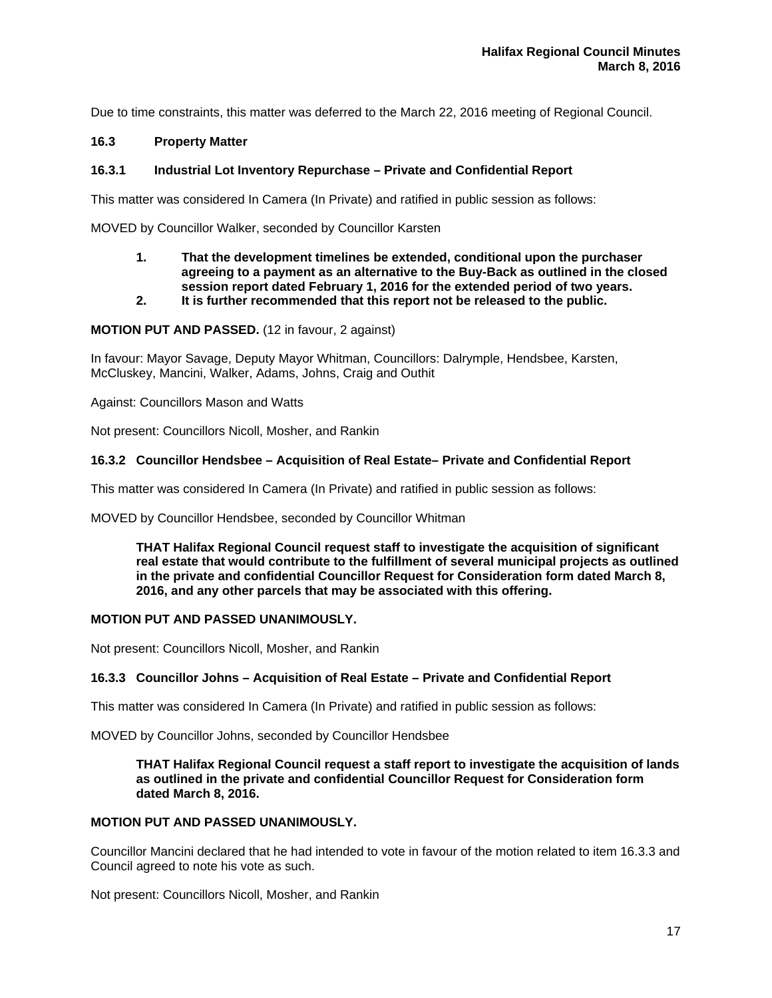Due to time constraints, this matter was deferred to the March 22, 2016 meeting of Regional Council.

# **16.3 Property Matter**

# **16.3.1 Industrial Lot Inventory Repurchase – Private and Confidential Report**

This matter was considered In Camera (In Private) and ratified in public session as follows:

MOVED by Councillor Walker, seconded by Councillor Karsten

- **1. That the development timelines be extended, conditional upon the purchaser agreeing to a payment as an alternative to the Buy-Back as outlined in the closed session report dated February 1, 2016 for the extended period of two years.**
- **2. It is further recommended that this report not be released to the public.**

**MOTION PUT AND PASSED.** (12 in favour, 2 against)

In favour: Mayor Savage, Deputy Mayor Whitman, Councillors: Dalrymple, Hendsbee, Karsten, McCluskey, Mancini, Walker, Adams, Johns, Craig and Outhit

Against: Councillors Mason and Watts

Not present: Councillors Nicoll, Mosher, and Rankin

#### **16.3.2 Councillor Hendsbee – Acquisition of Real Estate– Private and Confidential Report**

This matter was considered In Camera (In Private) and ratified in public session as follows:

MOVED by Councillor Hendsbee, seconded by Councillor Whitman

**THAT Halifax Regional Council request staff to investigate the acquisition of significant real estate that would contribute to the fulfillment of several municipal projects as outlined in the private and confidential Councillor Request for Consideration form dated March 8, 2016, and any other parcels that may be associated with this offering.** 

# **MOTION PUT AND PASSED UNANIMOUSLY.**

Not present: Councillors Nicoll, Mosher, and Rankin

# **16.3.3 Councillor Johns – Acquisition of Real Estate – Private and Confidential Report**

This matter was considered In Camera (In Private) and ratified in public session as follows:

MOVED by Councillor Johns, seconded by Councillor Hendsbee

**THAT Halifax Regional Council request a staff report to investigate the acquisition of lands as outlined in the private and confidential Councillor Request for Consideration form dated March 8, 2016.** 

# **MOTION PUT AND PASSED UNANIMOUSLY.**

Councillor Mancini declared that he had intended to vote in favour of the motion related to item 16.3.3 and Council agreed to note his vote as such.

Not present: Councillors Nicoll, Mosher, and Rankin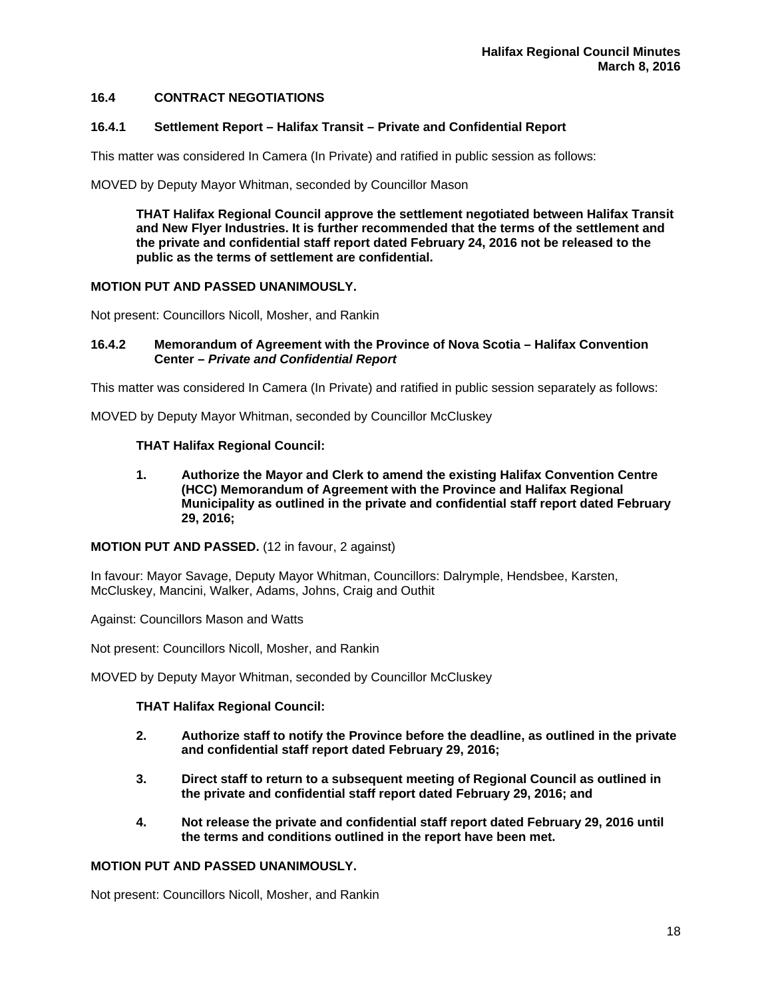# **16.4 CONTRACT NEGOTIATIONS**

#### **16.4.1 Settlement Report – Halifax Transit – Private and Confidential Report**

This matter was considered In Camera (In Private) and ratified in public session as follows:

MOVED by Deputy Mayor Whitman, seconded by Councillor Mason

**THAT Halifax Regional Council approve the settlement negotiated between Halifax Transit and New Flyer Industries. It is further recommended that the terms of the settlement and the private and confidential staff report dated February 24, 2016 not be released to the public as the terms of settlement are confidential.** 

#### **MOTION PUT AND PASSED UNANIMOUSLY.**

Not present: Councillors Nicoll, Mosher, and Rankin

#### **16.4.2 Memorandum of Agreement with the Province of Nova Scotia – Halifax Convention Center –** *Private and Confidential Report*

This matter was considered In Camera (In Private) and ratified in public session separately as follows:

MOVED by Deputy Mayor Whitman, seconded by Councillor McCluskey

#### **THAT Halifax Regional Council:**

**1. Authorize the Mayor and Clerk to amend the existing Halifax Convention Centre (HCC) Memorandum of Agreement with the Province and Halifax Regional Municipality as outlined in the private and confidential staff report dated February 29, 2016;** 

**MOTION PUT AND PASSED.** (12 in favour, 2 against)

In favour: Mayor Savage, Deputy Mayor Whitman, Councillors: Dalrymple, Hendsbee, Karsten, McCluskey, Mancini, Walker, Adams, Johns, Craig and Outhit

Against: Councillors Mason and Watts

Not present: Councillors Nicoll, Mosher, and Rankin

MOVED by Deputy Mayor Whitman, seconded by Councillor McCluskey

# **THAT Halifax Regional Council:**

- **2. Authorize staff to notify the Province before the deadline, as outlined in the private and confidential staff report dated February 29, 2016;**
- **3. Direct staff to return to a subsequent meeting of Regional Council as outlined in the private and confidential staff report dated February 29, 2016; and**
- **4. Not release the private and confidential staff report dated February 29, 2016 until the terms and conditions outlined in the report have been met.**

# **MOTION PUT AND PASSED UNANIMOUSLY.**

Not present: Councillors Nicoll, Mosher, and Rankin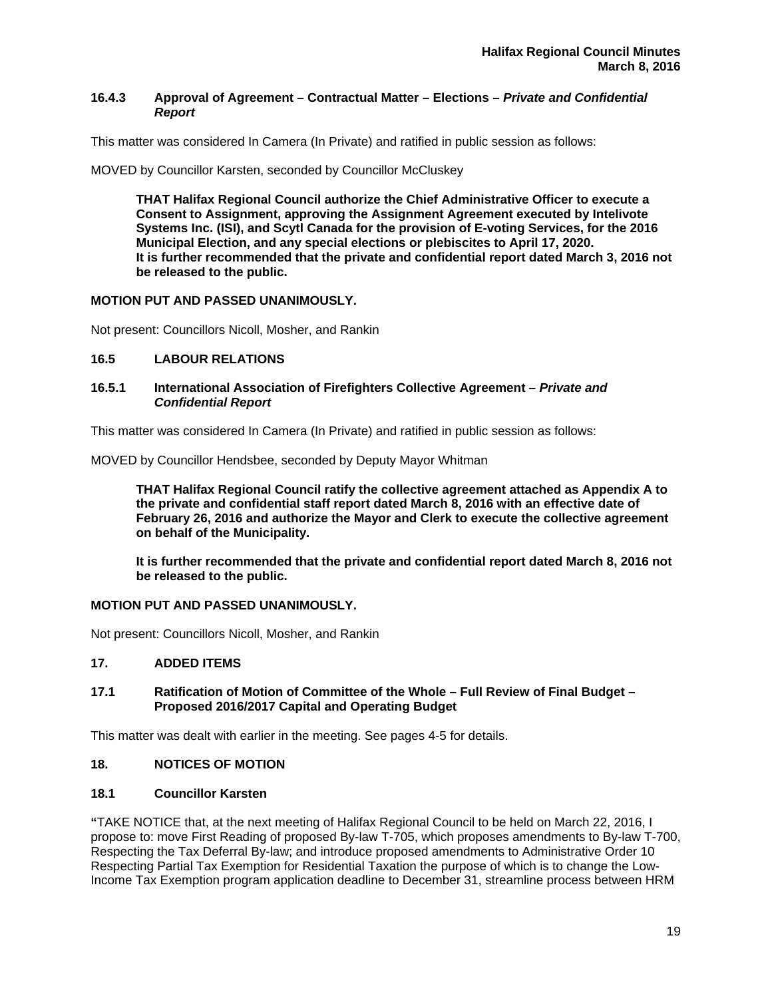# **16.4.3 Approval of Agreement – Contractual Matter – Elections** *– Private and Confidential Report*

This matter was considered In Camera (In Private) and ratified in public session as follows:

MOVED by Councillor Karsten, seconded by Councillor McCluskey

**THAT Halifax Regional Council authorize the Chief Administrative Officer to execute a Consent to Assignment, approving the Assignment Agreement executed by Intelivote Systems Inc. (ISI), and Scytl Canada for the provision of E-voting Services, for the 2016 Municipal Election, and any special elections or plebiscites to April 17, 2020. It is further recommended that the private and confidential report dated March 3, 2016 not be released to the public.** 

# **MOTION PUT AND PASSED UNANIMOUSLY.**

Not present: Councillors Nicoll, Mosher, and Rankin

# **16.5 LABOUR RELATIONS**

# **16.5.1 International Association of Firefighters Collective Agreement –** *Private and Confidential Report*

This matter was considered In Camera (In Private) and ratified in public session as follows:

MOVED by Councillor Hendsbee, seconded by Deputy Mayor Whitman

**THAT Halifax Regional Council ratify the collective agreement attached as Appendix A to the private and confidential staff report dated March 8, 2016 with an effective date of February 26, 2016 and authorize the Mayor and Clerk to execute the collective agreement on behalf of the Municipality.**

**It is further recommended that the private and confidential report dated March 8, 2016 not be released to the public.** 

# **MOTION PUT AND PASSED UNANIMOUSLY.**

Not present: Councillors Nicoll, Mosher, and Rankin

# **17. ADDED ITEMS**

# **17.1 Ratification of Motion of Committee of the Whole – Full Review of Final Budget – Proposed 2016/2017 Capital and Operating Budget**

This matter was dealt with earlier in the meeting. See pages 4-5 for details.

# **18. NOTICES OF MOTION**

# **18.1 Councillor Karsten**

**"**TAKE NOTICE that, at the next meeting of Halifax Regional Council to be held on March 22, 2016, I propose to: move First Reading of proposed By-law T-705, which proposes amendments to By-law T-700, Respecting the Tax Deferral By-law; and introduce proposed amendments to Administrative Order 10 Respecting Partial Tax Exemption for Residential Taxation the purpose of which is to change the Low-Income Tax Exemption program application deadline to December 31, streamline process between HRM